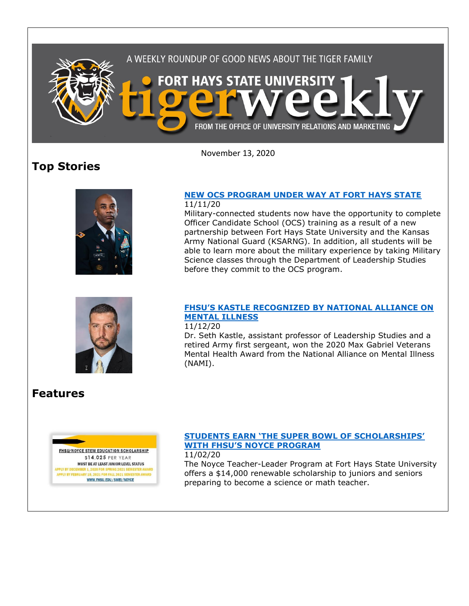

November 13, 2020

# **Top Stories**





#### **[NEW OCS PROGRAM UNDER WAY AT FORT HAYS STATE](https://www.fhsu.edu/news/2020/11/new-ocs-program-under-way-at-fort-hays-state)** 11/11/20

Military-connected students now have the opportunity to complete Officer Candidate School (OCS) training as a result of a new partnership between Fort Hays State University and the Kansas Army National Guard (KSARNG). In addition, all students will be able to learn more about the military experience by taking Military Science classes through the Department of Leadership Studies before they commit to the OCS program.

### **[FHSU'S KASTLE RECOGNIZED BY NATIONAL ALLIANCE ON](https://www.fhsu.edu/news/2020/11/fhsus-kastle-recognized-by-national-alliance-on-mental-illness)  [MENTAL ILLNESS](https://www.fhsu.edu/news/2020/11/fhsus-kastle-recognized-by-national-alliance-on-mental-illness)**

### 11/12/20

Dr. Seth Kastle, assistant professor of Leadership Studies and a retired Army first sergeant, won the 2020 Max Gabriel Veterans Mental Health Award from the National Alliance on Mental Illness (NAMI).

# **Features**



## **[STUDENTS EARN 'THE SUPER BOWL OF SCHOLARSHIPS'](https://www.fhsu.edu/news/2020/11/students-earn-the-super-bowl-of-scholarships-with-fhsus-noyce-program)  [WITH FHSU'S NOYCE PROGRAM](https://www.fhsu.edu/news/2020/11/students-earn-the-super-bowl-of-scholarships-with-fhsus-noyce-program)**

11/02/20

The Noyce Teacher-Leader Program at Fort Hays State University offers a \$14,000 renewable scholarship to juniors and seniors preparing to become a science or math teacher.